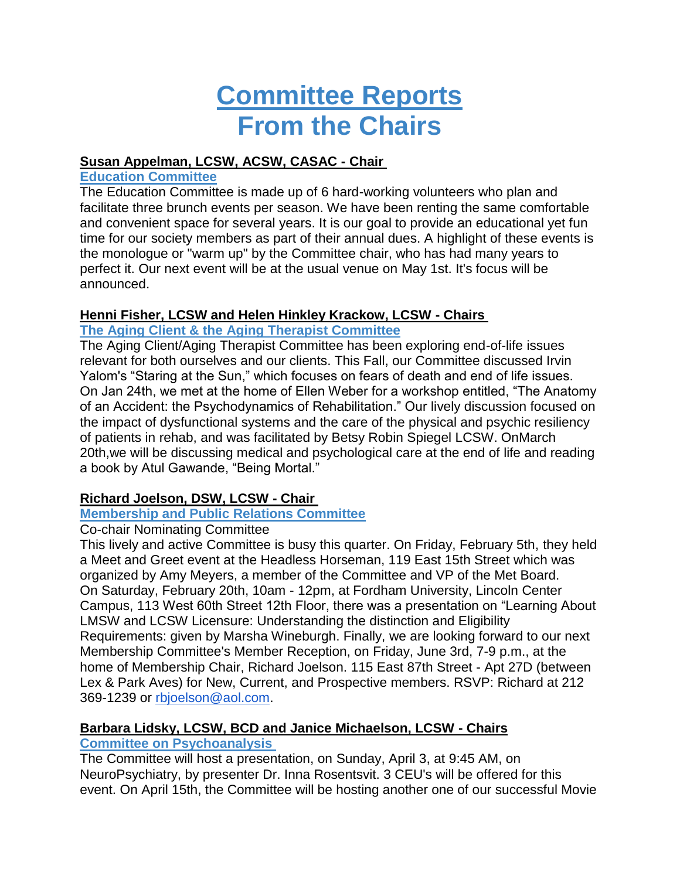# **Committee Reports From the Chairs**

#### **Susan Appelman, LCSW, ACSW, CASAC - Chair**

#### **Education Committee**

The Education Committee is made up of 6 hard-working volunteers who plan and facilitate three brunch events per season. We have been renting the same comfortable and convenient space for several years. It is our goal to provide an educational yet fun time for our society members as part of their annual dues. A highlight of these events is the monologue or "warm up" by the Committee chair, who has had many years to perfect it. Our next event will be at the usual venue on May 1st. It's focus will be announced.

### **Henni Fisher, LCSW and Helen Hinkley Krackow, LCSW - Chairs**

## **The Aging Client & the Aging Therapist Committee**

The Aging Client/Aging Therapist Committee has been exploring end-of-life issues relevant for both ourselves and our clients. This Fall, our Committee discussed Irvin Yalom's "Staring at the Sun," which focuses on fears of death and end of life issues. On Jan 24th, we met at the home of Ellen Weber for a workshop entitled, "The Anatomy of an Accident: the Psychodynamics of Rehabilitation." Our lively discussion focused on the impact of dysfunctional systems and the care of the physical and psychic resiliency of patients in rehab, and was facilitated by Betsy Robin Spiegel LCSW. OnMarch 20th,we will be discussing medical and psychological care at the end of life and reading a book by Atul Gawande, "Being Mortal."

# **Richard Joelson, DSW, LCSW - Chair**

### **Membership and Public Relations Committee**

### Co-chair Nominating Committee

This lively and active Committee is busy this quarter. On Friday, February 5th, they held a Meet and Greet event at the Headless Horseman, 119 East 15th Street which was organized by Amy Meyers, a member of the Committee and VP of the Met Board. On Saturday, February 20th, 10am - 12pm, at Fordham University, Lincoln Center Campus, 113 West 60th Street 12th Floor, there was a presentation on "Learning About LMSW and LCSW Licensure: Understanding the distinction and Eligibility Requirements: given by Marsha Wineburgh. Finally, we are looking forward to our next Membership Committee's Member Reception, on Friday, June 3rd, 7-9 p.m., at the home of Membership Chair, Richard Joelson. 115 East 87th Street - Apt 27D (between Lex & Park Aves) for New, Current, and Prospective members. RSVP: Richard at 212 369-1239 or [rbjoelson@aol.com.](mailto:rbjoelson@aol.com)

# **Barbara Lidsky, LCSW, BCD and Janice Michaelson, LCSW - Chairs**

### **Committee on Psychoanalysis**

The Committee will host a presentation, on Sunday, April 3, at 9:45 AM, on NeuroPsychiatry, by presenter Dr. Inna Rosentsvit. 3 CEU's will be offered for this event. On April 15th, the Committee will be hosting another one of our successful Movie